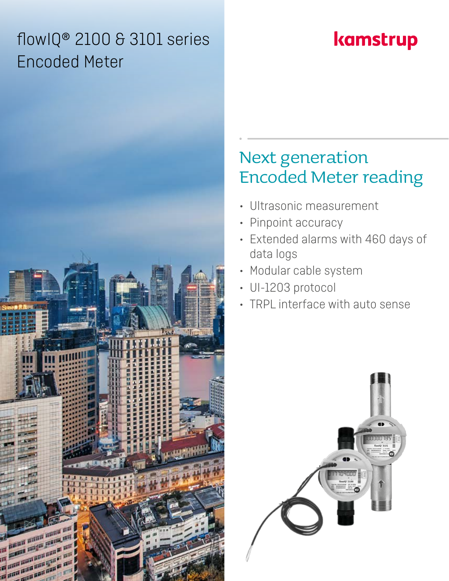## flowIQ® 2100 & 3101 series Encoded Meter

# kamstrup

## Next generation Encoded Meter reading

- Ultrasonic measurement
- Pinpoint accuracy
- Extended alarms with 460 days of data logs
- Modular cable system
- UI-1203 protocol
- TRPL interface with auto sense



**And Add**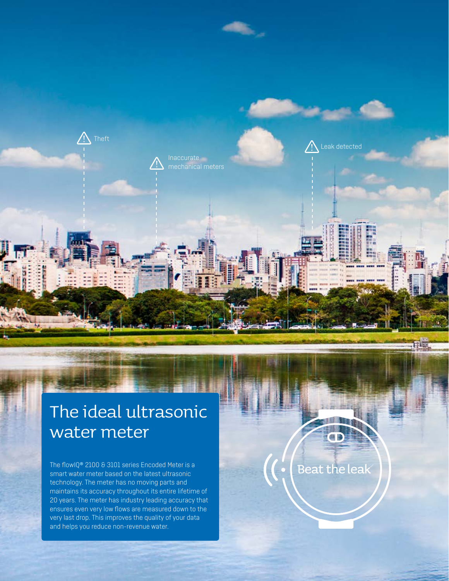

## The ideal ultrasonic water meter

The flowIQ® 2100 & 3101 series Encoded Meter is a smart water meter based on the latest ultrasonic technology. The meter has no moving parts and maintains its accuracy throughout its entire lifetime of 20 years. The meter has industry leading accuracy that ensures even very low flows are measured down to the very last drop. This improves the quality of your data and helps you reduce non-revenue water.

Beat the leak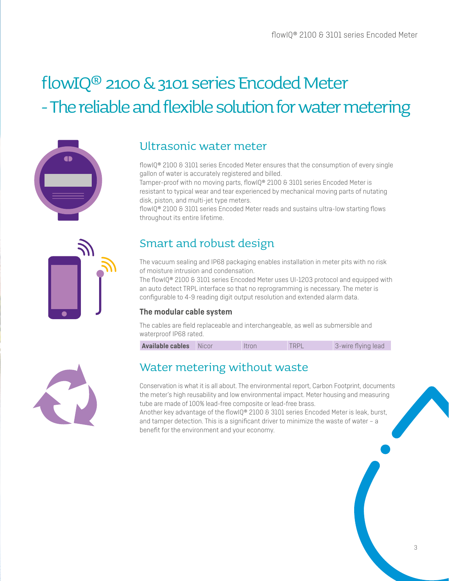# flowIQ® 2100 & 3101 series Encoded Meter - The reliable and flexible solution for water metering



### Ultrasonic water meter

flowIQ® 2100 & 3101 series Encoded Meter ensures that the consumption of every single gallon of water is accurately registered and billed.

Tamper-proof with no moving parts, flowIQ® 2100 & 3101 series Encoded Meter is resistant to typical wear and tear experienced by mechanical moving parts of nutating disk, piston, and multi-jet type meters.

flowIQ® 2100 & 3101 series Encoded Meter reads and sustains ultra-low starting flows throughout its entire lifetime.



### Smart and robust design

The vacuum sealing and IP68 packaging enables installation in meter pits with no risk of moisture intrusion and condensation.

The flowIQ® 2100 & 3101 series Encoded Meter uses UI-1203 protocol and equipped with an auto detect TRPL interface so that no reprogramming is necessary. The meter is configurable to 4-9 reading digit output resolution and extended alarm data.

#### **The modular cable system**

The cables are field replaceable and interchangeable, as well as submersible and waterproof IP68 rated.

| <b>Available cables</b> | Nicor | Itron | <b>TRPL</b> | 3-wire flying lead |
|-------------------------|-------|-------|-------------|--------------------|
|-------------------------|-------|-------|-------------|--------------------|



### Water metering without waste

Conservation is what it is all about. The environmental report, Carbon Footprint, documents the meter's high reusability and low environmental impact. Meter housing and measuring tube are made of 100% lead-free composite or lead-free brass.

Another key advantage of the flowIQ® 2100 & 3101 series Encoded Meter is leak, burst, and tamper detection. This is a significant driver to minimize the waste of water – a benefit for the environment and your economy.